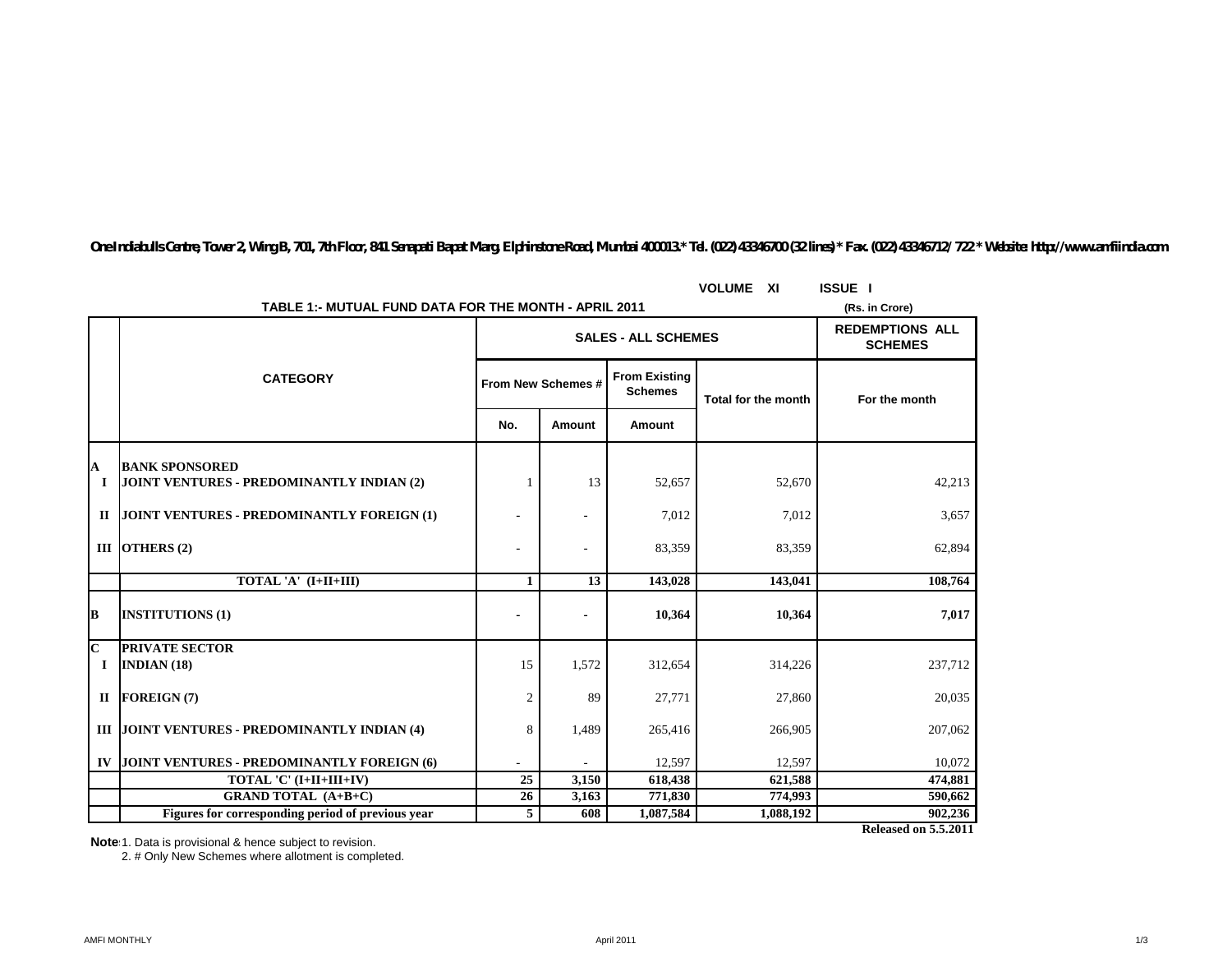|                         |                                                                    | <b>VOLUME XI</b>         | <b>ISSUE</b> I             |                                          |                            |               |  |  |  |  |
|-------------------------|--------------------------------------------------------------------|--------------------------|----------------------------|------------------------------------------|----------------------------|---------------|--|--|--|--|
|                         | TABLE 1:- MUTUAL FUND DATA FOR THE MONTH - APRIL 2011              |                          |                            |                                          |                            |               |  |  |  |  |
|                         |                                                                    |                          | <b>SALES - ALL SCHEMES</b> | <b>REDEMPTIONS ALL</b><br><b>SCHEMES</b> |                            |               |  |  |  |  |
|                         | <b>CATEGORY</b>                                                    |                          | From New Schemes #         | <b>From Existing</b><br><b>Schemes</b>   | <b>Total for the month</b> | For the month |  |  |  |  |
|                         |                                                                    | No.                      | Amount                     | Amount                                   |                            |               |  |  |  |  |
|                         |                                                                    |                          |                            |                                          |                            |               |  |  |  |  |
| A<br>1                  | <b>BANK SPONSORED</b><br>JOINT VENTURES - PREDOMINANTLY INDIAN (2) |                          | 13                         | 52,657                                   | 52,670                     | 42,213        |  |  |  |  |
| $\mathbf{I}$            | <b>JOINT VENTURES - PREDOMINANTLY FOREIGN (1)</b>                  |                          |                            | 7,012                                    | 7,012                      | 3,657         |  |  |  |  |
|                         | III OTHERS (2)                                                     | $\overline{\phantom{a}}$ |                            | 83,359                                   | 83,359                     | 62,894        |  |  |  |  |
|                         | TOTAL 'A' (I+II+III)                                               | $\mathbf{1}$             | 13                         | 143,028                                  | 143,041                    | 108,764       |  |  |  |  |
| B                       | <b>INSTITUTIONS (1)</b>                                            |                          |                            | 10,364                                   | 10,364                     | 7,017         |  |  |  |  |
| $\overline{\mathbf{c}}$ | <b>PRIVATE SECTOR</b>                                              |                          |                            |                                          |                            |               |  |  |  |  |
| 1                       | INDIAN $(18)$                                                      | 15                       | 1,572                      | 312,654                                  | 314,226                    | 237,712       |  |  |  |  |
| $\mathbf{I}$            | <b>FOREIGN(7)</b>                                                  | $\overline{2}$           | 89                         | 27,771                                   | 27,860                     | 20,035        |  |  |  |  |
|                         | III JOINT VENTURES - PREDOMINANTLY INDIAN (4)                      | 8                        | 1,489                      | 265,416                                  | 266,905                    | 207,062       |  |  |  |  |
| IV                      | JOINT VENTURES - PREDOMINANTLY FOREIGN (6)                         | $\sim$                   |                            | 12,597                                   | 12,597                     | 10,072        |  |  |  |  |
|                         | TOTAL 'C' (I+II+III+IV)                                            | $\overline{25}$          | 3,150                      | 618,438                                  | 621,588                    | 474,881       |  |  |  |  |
|                         | <b>GRAND TOTAL (A+B+C)</b>                                         | 26                       | 3,163                      | 771,830                                  | 774.993                    | 590,662       |  |  |  |  |
|                         | Figures for corresponding period of previous year                  | 5                        | 608                        | 1,087,584                                | 1,088,192                  | 902,236       |  |  |  |  |

*One Indiabulls Centre, Tower 2, Wing B, 701, 7th Floor, 841 Senapati Bapat Marg, Elphinstone Road, Mumbai 400013.\* Tel. (022) 43346700 (32 lines) \* Fax. (022) 43346712/ 722 \* Website: http://www.amfiindia.com*

**Note**:1. Data is provisional & hence subject to revision.

2. # Only New Schemes where allotment is completed.

**Released on 5.5.2011**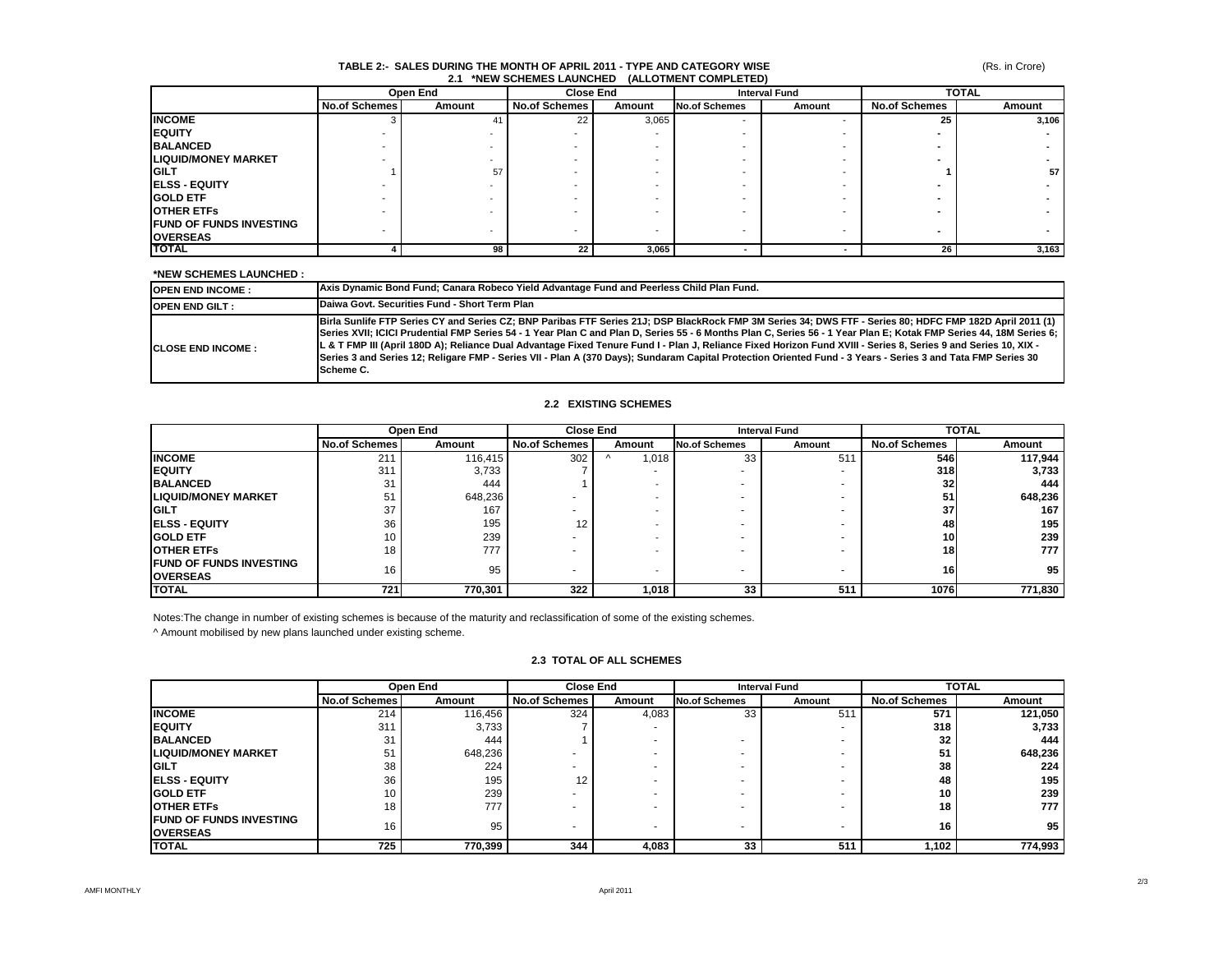### (Rs. in Crore)

#### **TABLE 2:- SALES DURING THE MONTH OF APRIL 2011 - TYPE AND CATEGORY WISE 2.1 \*NEW SCHEMES LAUNCHED (ALLOTMENT COMPLETED)**

|                                 | Open End             |        |               | <b>Close End</b> |                      | <b>Interval Fund</b> |                      | <b>TOTAL</b> |  |
|---------------------------------|----------------------|--------|---------------|------------------|----------------------|----------------------|----------------------|--------------|--|
|                                 | <b>No.of Schemes</b> | Amount | No.of Schemes | Amount           | <b>No.of Schemes</b> | Amount               | <b>No.of Schemes</b> | Amount       |  |
| <b>INCOME</b>                   |                      | 41     | 22            | 3,065            |                      |                      | 25                   | 3,106        |  |
| <b>EQUITY</b>                   |                      |        |               |                  |                      |                      |                      |              |  |
| <b>BALANCED</b>                 |                      |        |               |                  |                      |                      |                      |              |  |
| <b>LIQUID/MONEY MARKET</b>      |                      |        |               |                  |                      |                      |                      |              |  |
| <b>GILT</b>                     |                      | 57     |               |                  |                      |                      |                      | 57 I         |  |
| <b>ELSS - EQUITY</b>            |                      |        |               |                  |                      |                      |                      |              |  |
| <b>GOLD ETF</b>                 |                      |        |               |                  |                      |                      |                      |              |  |
| <b>OTHER ETFS</b>               |                      |        |               |                  |                      |                      |                      |              |  |
| <b>IFUND OF FUNDS INVESTING</b> |                      |        |               |                  |                      |                      |                      |              |  |
| <b>OVERSEAS</b>                 |                      |        |               |                  |                      | -                    | -                    |              |  |
| <b>TOTAL</b>                    |                      | 98     | 22            | 3,065            |                      |                      | 26                   | 3,163        |  |

## **\*NEW SCHEMES LAUNCHED :**

| <b>OPEN END INCOME:</b>    | Axis Dynamic Bond Fund; Canara Robeco Yield Advantage Fund and Peerless Child Plan Fund.                                                                                                                                                                                                                                                                                                                                                                                                                                                                                                                                                                                        |
|----------------------------|---------------------------------------------------------------------------------------------------------------------------------------------------------------------------------------------------------------------------------------------------------------------------------------------------------------------------------------------------------------------------------------------------------------------------------------------------------------------------------------------------------------------------------------------------------------------------------------------------------------------------------------------------------------------------------|
| <b>OPEN END GILT:</b>      | Daiwa Govt, Securities Fund - Short Term Plan                                                                                                                                                                                                                                                                                                                                                                                                                                                                                                                                                                                                                                   |
| <b>ICLOSE END INCOME :</b> | Birla Sunlife FTP Series CY and Series CZ; BNP Paribas FTF Series 21J; DSP BlackRock FMP 3M Series 34; DWS FTF - Series 80; HDFC FMP 182D April 2011 (1)<br>[Series XVII; ICICI Prudential FMP Series 54 - 1 Year Plan C and Plan D, Series 55 - 6 Months Plan C, Series 56 - 1 Year Plan E; Kotak FMP Series 44, 18M Series 6;<br>L & T FMP III (April 180D A); Reliance Dual Advantage Fixed Tenure Fund I - Plan J, Reliance Fixed Horizon Fund XVIII - Series 8, Series 9 and Series 10, XIX -<br>Series 3 and Series 12; Religare FMP - Series VII - Plan A (370 Days); Sundaram Capital Protection Oriented Fund - 3 Years - Series 3 and Tata FMP Series 30<br>Scheme C. |

#### **2.2 EXISTING SCHEMES**

|                                                    | Open End             |         | <b>Close End</b>     |        | <b>Interval Fund</b> |        | <b>TOTAL</b>         |         |
|----------------------------------------------------|----------------------|---------|----------------------|--------|----------------------|--------|----------------------|---------|
|                                                    | <b>No.of Schemes</b> | Amount  | <b>No.of Schemes</b> | Amount | <b>No.of Schemes</b> | Amount | <b>No.of Schemes</b> | Amount  |
| <b>INCOME</b>                                      | 211                  | 116,415 | 302                  | ,018   | 33                   | 511    | 546                  | 117,944 |
| <b>IEQUITY</b>                                     | 311                  | 3.733   |                      |        |                      |        | 318                  | 3,733   |
| <b>BALANCED</b>                                    | 31                   | 444     |                      |        |                      |        | 32 <sub>l</sub>      | 444     |
| <b>LIQUID/MONEY MARKET</b>                         | 51                   | 648,236 |                      |        |                      |        | 51                   | 648,236 |
| <b>IGILT</b>                                       | 37                   | 167     |                      |        |                      |        | 37                   | 167     |
| <b>IELSS - EQUITY</b>                              | 36                   | 195     | 12                   |        |                      |        | 48                   | 195     |
| <b>GOLD ETF</b>                                    | 10 <sup>°</sup>      | 239     |                      |        |                      |        | 10 <sup>1</sup>      | 239     |
| <b>OTHER ETFS</b>                                  | 18                   | 777     |                      |        |                      |        | 18                   | 777     |
| <b>IFUND OF FUNDS INVESTING</b><br><b>OVERSEAS</b> | 16                   | 95      |                      |        |                      |        | 16                   | 95      |
| <b>TOTAL</b>                                       | 721                  | 770,301 | 322                  | 1,018  | 33                   | 511    | 1076                 | 771,830 |

Notes:The change in number of existing schemes is because of the maturity and reclassification of some of the existing schemes.

^ Amount mobilised by new plans launched under existing scheme.

# **2.3 TOTAL OF ALL SCHEMES**

|                                 | Open End             |         | <b>Close End</b>     |        | <b>Interval Fund</b> |        | <b>TOTAL</b>         |         |
|---------------------------------|----------------------|---------|----------------------|--------|----------------------|--------|----------------------|---------|
|                                 | <b>No.of Schemes</b> | Amount  | <b>No.of Schemes</b> | Amount | <b>No.of Schemes</b> | Amount | <b>No.of Schemes</b> | Amount  |
| <b>INCOME</b>                   | 214                  | 116,456 | 324                  | 4,083  | 33                   | 51'    | 571                  | 121,050 |
| <b>EQUITY</b>                   | 311                  | 3.733   |                      |        |                      |        | 318                  | 3,733   |
| <b>BALANCED</b>                 | 31                   | 444     |                      |        |                      |        | 32                   | 444     |
| <b>LIQUID/MONEY MARKET</b>      | 51                   | 648,236 |                      |        |                      |        | 51                   | 648,236 |
| <b>GILT</b>                     | 38                   | 224     |                      |        |                      |        | 38                   | 224     |
| <b>ELSS - EQUITY</b>            | 36                   | 195     | $12 \overline{ }$    |        |                      |        | 48                   | 195     |
| <b>GOLD ETF</b>                 | 10                   | 239     |                      |        |                      |        | 10                   | 239     |
| <b>OTHER ETFS</b>               | 18                   | 777     |                      |        |                      |        | 18                   | 777     |
| <b>IFUND OF FUNDS INVESTING</b> | 16                   | 95      |                      |        |                      |        | 16                   | 95      |
| <b>OVERSEAS</b>                 |                      |         |                      |        |                      |        |                      |         |
| <b>TOTAL</b>                    | 725                  | 770,399 | 344                  | 4,083  | 33                   | 511    | 1,102                | 774,993 |